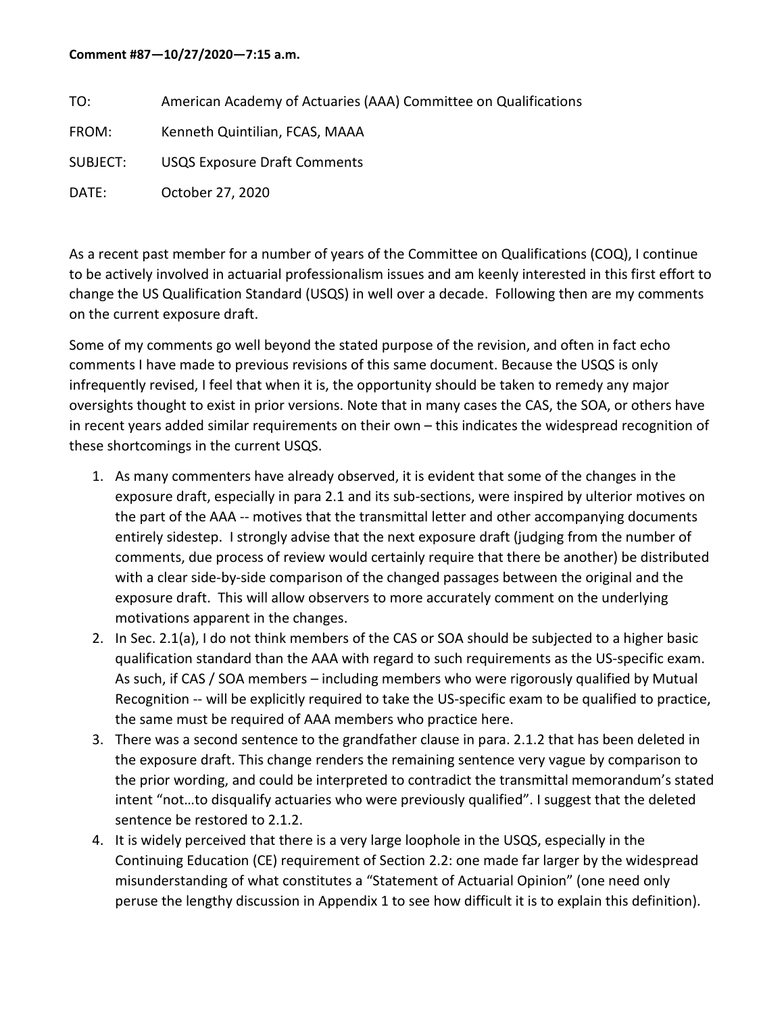## **Comment #87—10/27/2020—7:15 a.m.**

| TO:      | American Academy of Actuaries (AAA) Committee on Qualifications |
|----------|-----------------------------------------------------------------|
| FROM:    | Kenneth Quintilian, FCAS, MAAA                                  |
| SUBJECT: | <b>USQS Exposure Draft Comments</b>                             |
| DATE:    | October 27, 2020                                                |

As a recent past member for a number of years of the Committee on Qualifications (COQ), I continue to be actively involved in actuarial professionalism issues and am keenly interested in this first effort to change the US Qualification Standard (USQS) in well over a decade. Following then are my comments on the current exposure draft.

Some of my comments go well beyond the stated purpose of the revision, and often in fact echo comments I have made to previous revisions of this same document. Because the USQS is only infrequently revised, I feel that when it is, the opportunity should be taken to remedy any major oversights thought to exist in prior versions. Note that in many cases the CAS, the SOA, or others have in recent years added similar requirements on their own – this indicates the widespread recognition of these shortcomings in the current USQS.

- 1. As many commenters have already observed, it is evident that some of the changes in the exposure draft, especially in para 2.1 and its sub-sections, were inspired by ulterior motives on the part of the AAA -- motives that the transmittal letter and other accompanying documents entirely sidestep. I strongly advise that the next exposure draft (judging from the number of comments, due process of review would certainly require that there be another) be distributed with a clear side-by-side comparison of the changed passages between the original and the exposure draft. This will allow observers to more accurately comment on the underlying motivations apparent in the changes.
- 2. In Sec. 2.1(a), I do not think members of the CAS or SOA should be subjected to a higher basic qualification standard than the AAA with regard to such requirements as the US-specific exam. As such, if CAS / SOA members – including members who were rigorously qualified by Mutual Recognition -- will be explicitly required to take the US-specific exam to be qualified to practice, the same must be required of AAA members who practice here.
- 3. There was a second sentence to the grandfather clause in para. 2.1.2 that has been deleted in the exposure draft. This change renders the remaining sentence very vague by comparison to the prior wording, and could be interpreted to contradict the transmittal memorandum's stated intent "not…to disqualify actuaries who were previously qualified". I suggest that the deleted sentence be restored to 2.1.2.
- 4. It is widely perceived that there is a very large loophole in the USQS, especially in the Continuing Education (CE) requirement of Section 2.2: one made far larger by the widespread misunderstanding of what constitutes a "Statement of Actuarial Opinion" (one need only peruse the lengthy discussion in Appendix 1 to see how difficult it is to explain this definition).